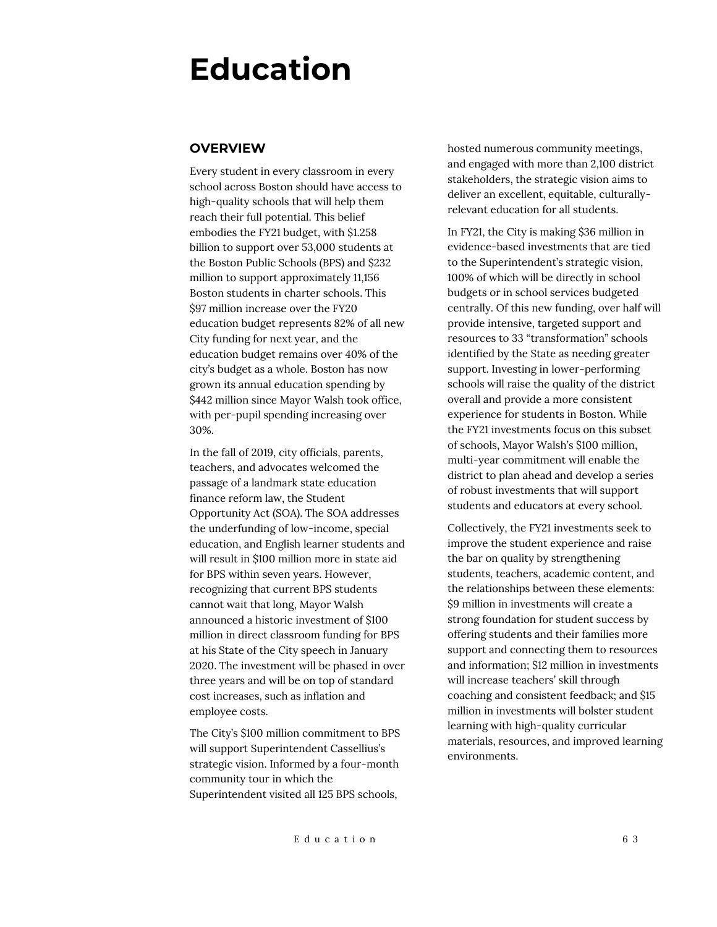# **Education**

## **OVERVIEW**

Every student in every classroom in every school across Boston should have access to high-quality schools that will help them reach their full potential. This belief embodies the FY21 budget, with \$1.258 billion to support over 53,000 students at the Boston Public Schools (BPS) and \$232 million to support approximately 11,156 Boston students in charter schools. This \$97 million increase over the FY20 education budget represents 82% of all new City funding for next year, and the education budget remains over 40% of the city's budget as a whole. Boston has now grown its annual education spending by \$442 million since Mayor Walsh took office, with per-pupil spending increasing over 30%.

In the fall of 2019, city officials, parents, teachers, and advocates welcomed the passage of a landmark state education finance reform law, the Student Opportunity Act (SOA). The SOA addresses the underfunding of low-income, special education, and English learner students and will result in \$100 million more in state aid for BPS within seven years. However, recognizing that current BPS students cannot wait that long, Mayor Walsh announced a historic investment of \$100 million in direct classroom funding for BPS at his State of the City speech in January 2020. The investment will be phased in over three years and will be on top of standard cost increases, such as inflation and employee costs.

The City's \$100 million commitment to BPS will support Superintendent Cassellius's strategic vision. Informed by a four-month community tour in which the Superintendent visited all 125 BPS schools,

hosted numerous community meetings, and engaged with more than 2,100 district stakeholders, the strategic vision aims to deliver an excellent, equitable, culturallyrelevant education for all students.

In FY21, the City is making \$36 million in evidence-based investments that are tied to the Superintendent's strategic vision, 100% of which will be directly in school budgets or in school services budgeted centrally. Of this new funding, over half will provide intensive, targeted support and resources to 33 "transformation" schools identified by the State as needing greater support. Investing in lower-performing schools will raise the quality of the district overall and provide a more consistent experience for students in Boston. While the FY21 investments focus on this subset of schools, Mayor Walsh's \$100 million, multi-year commitment will enable the district to plan ahead and develop a series of robust investments that will support students and educators at every school.

Collectively, the FY21 investments seek to improve the student experience and raise the bar on quality by strengthening students, teachers, academic content, and the relationships between these elements: \$9 million in investments will create a strong foundation for student success by offering students and their families more support and connecting them to resources and information; \$12 million in investments will increase teachers' skill through coaching and consistent feedback; and \$15 million in investments will bolster student learning with high-quality curricular materials, resources, and improved learning environments.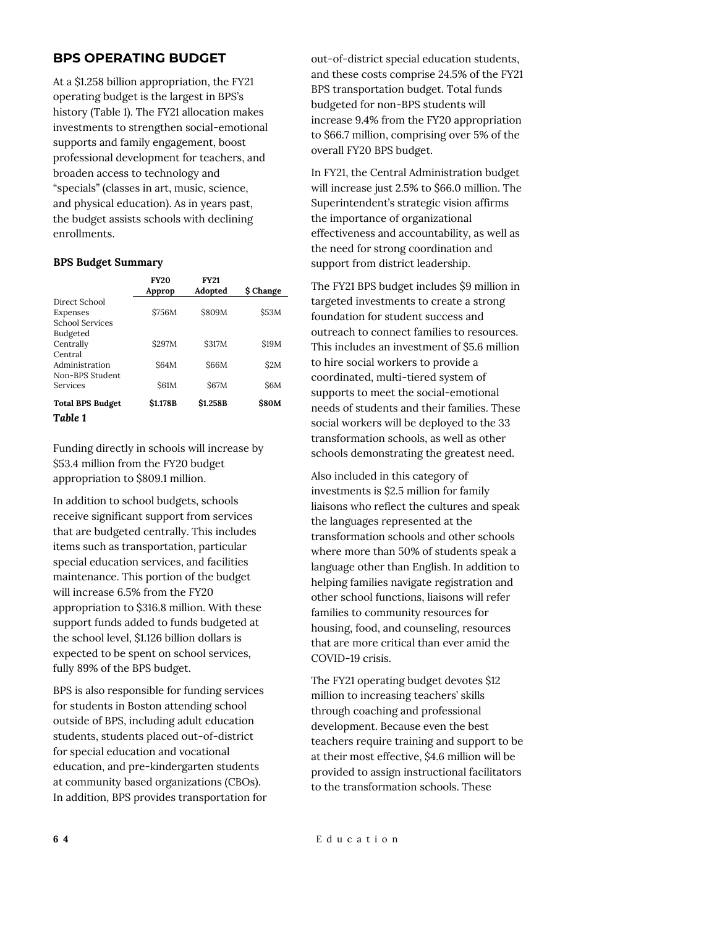## **BPS OPERATING BUDGET**

At a \$1.258 billion appropriation, the FY21 operating budget is the largest in BPS's history (Table 1). The FY21 allocation makes investments to strengthen social-emotional supports and family engagement, boost professional development for teachers, and broaden access to technology and "specials" (classes in art, music, science, and physical education). As in years past, the budget assists schools with declining enrollments.

#### **BPS Budget Summary**

|                                                     | <b>FY20</b><br>Approp | <b>FY21</b><br>Adopted | <b>S</b> Change |
|-----------------------------------------------------|-----------------------|------------------------|-----------------|
| Direct School<br>Expenses<br><b>School Services</b> | <b>\$756M</b>         | \$809M                 | \$53M           |
| Budgeted<br>Centrally<br>Central                    | \$297M                | \$317M                 | <b>S19M</b>     |
| Administration<br>Non-BPS Student                   | <b>S64M</b>           | <b>S66M</b>            | \$2M            |
| Services                                            | <b>\$61M</b>          | <b>\$67M</b>           | S6M             |
| <b>Total BPS Budget</b><br>Table 1                  | <b>S1.178B</b>        | \$1.258B               | <b>\$80M</b>    |

Funding directly in schools will increase by \$53.4 million from the FY20 budget appropriation to \$809.1 million.

In addition to school budgets, schools receive significant support from services that are budgeted centrally. This includes items such as transportation, particular special education services, and facilities maintenance. This portion of the budget will increase 6.5% from the FY20 appropriation to \$316.8 million. With these support funds added to funds budgeted at the school level, \$1.126 billion dollars is expected to be spent on school services, fully 89% of the BPS budget.

BPS is also responsible for funding services for students in Boston attending school outside of BPS, including adult education students, students placed out-of-district for special education and vocational education, and pre-kindergarten students at community based organizations (CBOs). In addition, BPS provides transportation for out-of-district special education students, and these costs comprise 24.5% of the FY21 BPS transportation budget. Total funds budgeted for non-BPS students will increase 9.4% from the FY20 appropriation to \$66.7 million, comprising over 5% of the overall FY20 BPS budget.

In FY21, the Central Administration budget will increase just 2.5% to \$66.0 million. The Superintendent's strategic vision affirms the importance of organizational effectiveness and accountability, as well as the need for strong coordination and support from district leadership.

The FY21 BPS budget includes \$9 million in targeted investments to create a strong foundation for student success and outreach to connect families to resources. This includes an investment of \$5.6 million to hire social workers to provide a coordinated, multi-tiered system of supports to meet the social-emotional needs of students and their families. These social workers will be deployed to the 33 transformation schools, as well as other schools demonstrating the greatest need.

Also included in this category of investments is \$2.5 million for family liaisons who reflect the cultures and speak the languages represented at the transformation schools and other schools where more than 50% of students speak a language other than English. In addition to helping families navigate registration and other school functions, liaisons will refer families to community resources for housing, food, and counseling, resources that are more critical than ever amid the COVID-19 crisis.

The FY21 operating budget devotes \$12 million to increasing teachers' skills through coaching and professional development. Because even the best teachers require training and support to be at their most effective, \$4.6 million will be provided to assign instructional facilitators to the transformation schools. These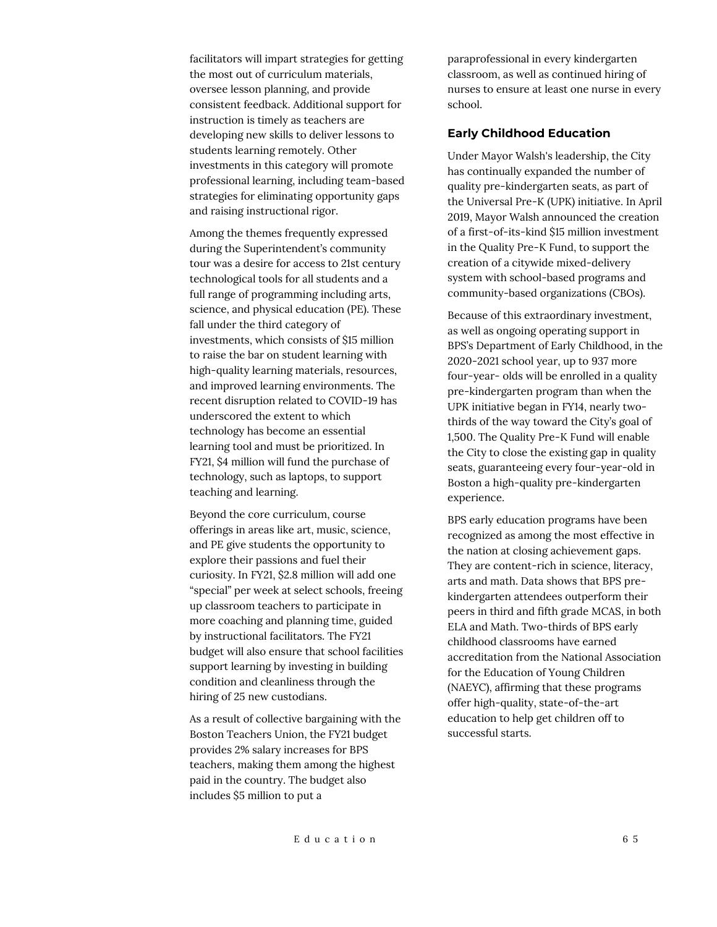facilitators will impart strategies for getting the most out of curriculum materials, oversee lesson planning, and provide consistent feedback. Additional support for instruction is timely as teachers are developing new skills to deliver lessons to students learning remotely. Other investments in this category will promote professional learning, including team-based strategies for eliminating opportunity gaps and raising instructional rigor.

Among the themes frequently expressed during the Superintendent's community tour was a desire for access to 21st century technological tools for all students and a full range of programming including arts, science, and physical education (PE). These fall under the third category of investments, which consists of \$15 million to raise the bar on student learning with high-quality learning materials, resources, and improved learning environments. The recent disruption related to COVID-19 has underscored the extent to which technology has become an essential learning tool and must be prioritized. In FY21, \$4 million will fund the purchase of technology, such as laptops, to support teaching and learning.

Beyond the core curriculum, course offerings in areas like art, music, science, and PE give students the opportunity to explore their passions and fuel their curiosity. In FY21, \$2.8 million will add one "special" per week at select schools, freeing up classroom teachers to participate in more coaching and planning time, guided by instructional facilitators. The FY21 budget will also ensure that school facilities support learning by investing in building condition and cleanliness through the hiring of 25 new custodians.

As a result of collective bargaining with the Boston Teachers Union, the FY21 budget provides 2% salary increases for BPS teachers, making them among the highest paid in the country. The budget also includes \$5 million to put a

paraprofessional in every kindergarten classroom, as well as continued hiring of nurses to ensure at least one nurse in every school.

#### **Early Childhood Education**

Under Mayor Walsh's leadership, the City has continually expanded the number of quality pre-kindergarten seats, as part of the Universal Pre-K (UPK) initiative. In April 2019, Mayor Walsh announced the creation of a first-of-its-kind \$15 million investment in the Quality Pre-K Fund, to support the creation of a citywide mixed-delivery system with school-based programs and community-based organizations (CBOs).

Because of this extraordinary investment, as well as ongoing operating support in BPS's Department of Early Childhood, in the 2020-2021 school year, up to 937 more four-year- olds will be enrolled in a quality pre-kindergarten program than when the UPK initiative began in FY14, nearly twothirds of the way toward the City's goal of 1,500. The Quality Pre-K Fund will enable the City to close the existing gap in quality seats, guaranteeing every four-year-old in Boston a high-quality pre-kindergarten experience.

BPS early education programs have been recognized as among the most effective in the nation at closing achievement gaps. They are content-rich in science, literacy, arts and math. Data shows that BPS prekindergarten attendees outperform their peers in third and fifth grade MCAS, in both ELA and Math. Two-thirds of BPS early childhood classrooms have earned accreditation from the National Association for the Education of Young Children (NAEYC), affirming that these programs offer high-quality, state-of-the-art education to help get children off to successful starts.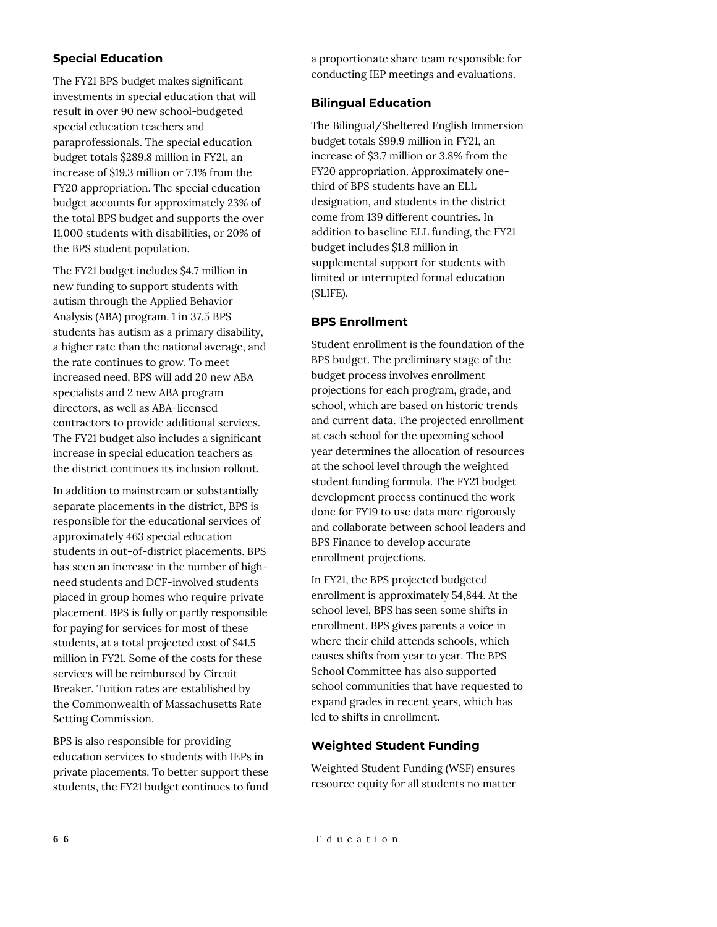## **Special Education**

The FY21 BPS budget makes significant investments in special education that will result in over 90 new school-budgeted special education teachers and paraprofessionals. The special education budget totals \$289.8 million in FY21, an increase of \$19.3 million or 7.1% from the FY20 appropriation. The special education budget accounts for approximately 23% of the total BPS budget and supports the over 11,000 students with disabilities, or 20% of the BPS student population.

The FY21 budget includes \$4.7 million in new funding to support students with autism through the Applied Behavior Analysis (ABA) program. 1 in 37.5 BPS students has autism as a primary disability, a higher rate than the national average, and the rate continues to grow. To meet increased need, BPS will add 20 new ABA specialists and 2 new ABA program directors, as well as ABA-licensed contractors to provide additional services. The FY21 budget also includes a significant increase in special education teachers as the district continues its inclusion rollout.

In addition to mainstream or substantially separate placements in the district, BPS is responsible for the educational services of approximately 463 special education students in out-of-district placements. BPS has seen an increase in the number of highneed students and DCF-involved students placed in group homes who require private placement. BPS is fully or partly responsible for paying for services for most of these students, at a total projected cost of \$41.5 million in FY21. Some of the costs for these services will be reimbursed by Circuit Breaker. Tuition rates are established by the Commonwealth of Massachusetts Rate Setting Commission.

BPS is also responsible for providing education services to students with IEPs in private placements. To better support these students, the FY21 budget continues to fund a proportionate share team responsible for conducting IEP meetings and evaluations.

## **Bilingual Education**

The Bilingual/Sheltered English Immersion budget totals \$99.9 million in FY21, an increase of \$3.7 million or 3.8% from the FY20 appropriation. Approximately onethird of BPS students have an ELL designation, and students in the district come from 139 different countries. In addition to baseline ELL funding, the FY21 budget includes \$1.8 million in supplemental support for students with limited or interrupted formal education (SLIFE).

## **BPS Enrollment**

Student enrollment is the foundation of the BPS budget. The preliminary stage of the budget process involves enrollment projections for each program, grade, and school, which are based on historic trends and current data. The projected enrollment at each school for the upcoming school year determines the allocation of resources at the school level through the weighted student funding formula. The FY21 budget development process continued the work done for FY19 to use data more rigorously and collaborate between school leaders and BPS Finance to develop accurate enrollment projections.

In FY21, the BPS projected budgeted enrollment is approximately 54,844. At the school level, BPS has seen some shifts in enrollment. BPS gives parents a voice in where their child attends schools, which causes shifts from year to year. The BPS School Committee has also supported school communities that have requested to expand grades in recent years, which has led to shifts in enrollment.

### **Weighted Student Funding**

Weighted Student Funding (WSF) ensures resource equity for all students no matter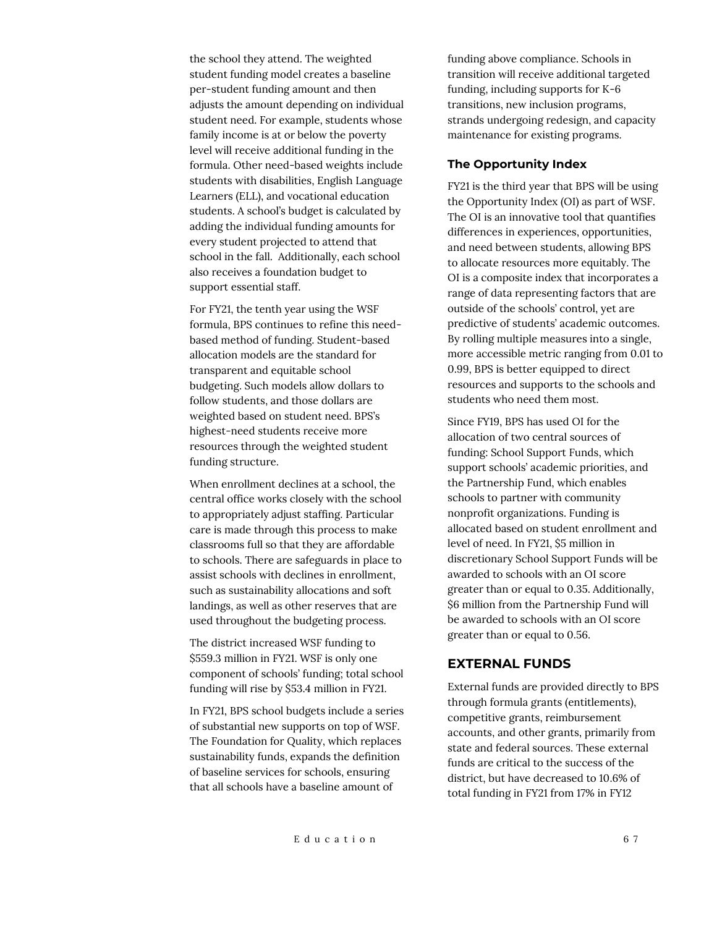the school they attend. The weighted student funding model creates a baseline per-student funding amount and then adjusts the amount depending on individual student need. For example, students whose family income is at or below the poverty level will receive additional funding in the formula. Other need-based weights include students with disabilities, English Language Learners (ELL), and vocational education students. A school's budget is calculated by adding the individual funding amounts for every student projected to attend that school in the fall. Additionally, each school also receives a foundation budget to support essential staff.

For FY21, the tenth year using the WSF formula, BPS continues to refine this needbased method of funding. Student-based allocation models are the standard for transparent and equitable school budgeting. Such models allow dollars to follow students, and those dollars are weighted based on student need. BPS's highest-need students receive more resources through the weighted student funding structure.

When enrollment declines at a school, the central office works closely with the school to appropriately adjust staffing. Particular care is made through this process to make classrooms full so that they are affordable to schools. There are safeguards in place to assist schools with declines in enrollment, such as sustainability allocations and soft landings, as well as other reserves that are used throughout the budgeting process.

The district increased WSF funding to \$559.3 million in FY21. WSF is only one component of schools' funding; total school funding will rise by \$53.4 million in FY21.

In FY21, BPS school budgets include a series of substantial new supports on top of WSF. The Foundation for Quality, which replaces sustainability funds, expands the definition of baseline services for schools, ensuring that all schools have a baseline amount of

funding above compliance. Schools in transition will receive additional targeted funding, including supports for K-6 transitions, new inclusion programs, strands undergoing redesign, and capacity maintenance for existing programs.

#### **The Opportunity Index**

FY21 is the third year that BPS will be using the Opportunity Index (OI) as part of WSF. The OI is an innovative tool that quantifies differences in experiences, opportunities, and need between students, allowing BPS to allocate resources more equitably. The OI is a composite index that incorporates a range of data representing factors that are outside of the schools' control, yet are predictive of students' academic outcomes. By rolling multiple measures into a single, more accessible metric ranging from 0.01 to 0.99, BPS is better equipped to direct resources and supports to the schools and students who need them most.

Since FY19, BPS has used OI for the allocation of two central sources of funding: School Support Funds, which support schools' academic priorities, and the Partnership Fund, which enables schools to partner with community nonprofit organizations. Funding is allocated based on student enrollment and level of need. In FY21, \$5 million in discretionary School Support Funds will be awarded to schools with an OI score greater than or equal to 0.35. Additionally, \$6 million from the Partnership Fund will be awarded to schools with an OI score greater than or equal to 0.56.

### **EXTERNAL FUNDS**

External funds are provided directly to BPS through formula grants (entitlements), competitive grants, reimbursement accounts, and other grants, primarily from state and federal sources. These external funds are critical to the success of the district, but have decreased to 10.6% of total funding in FY21 from 17% in FY12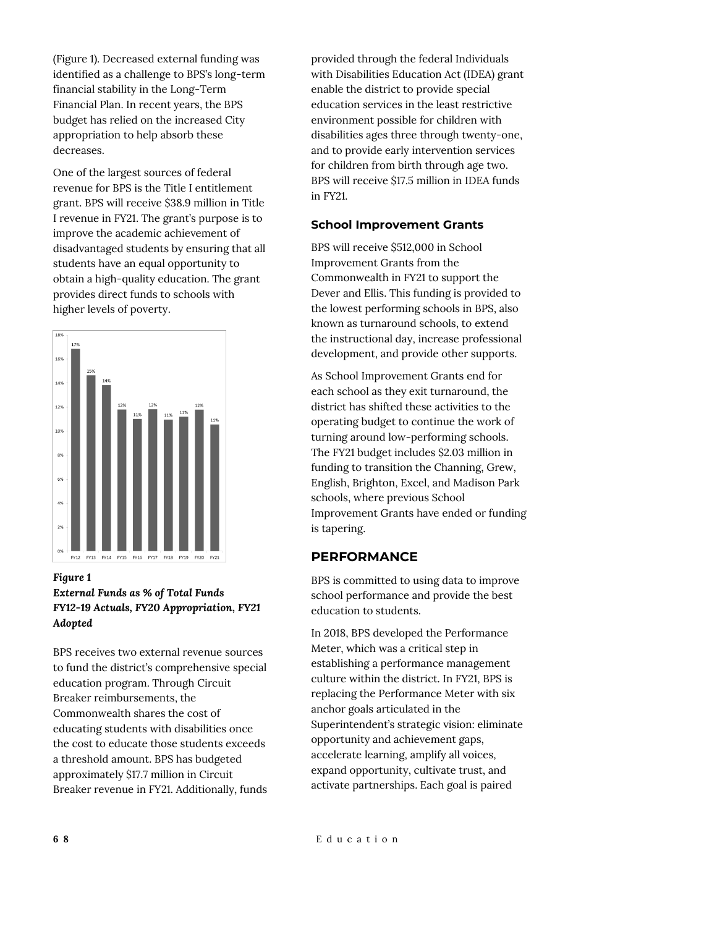(Figure 1). Decreased external funding was identified as a challenge to BPS's long-term financial stability in the Long-Term Financial Plan. In recent years, the BPS budget has relied on the increased City appropriation to help absorb these decreases.

One of the largest sources of federal revenue for BPS is the Title I entitlement grant. BPS will receive \$38.9 million in Title I revenue in FY21. The grant's purpose is to improve the academic achievement of disadvantaged students by ensuring that all students have an equal opportunity to obtain a high-quality education. The grant provides direct funds to schools with higher levels of poverty.



### *Figure 1 External Funds as % of Total Funds FY12-19 Actuals, FY20 Appropriation, FY21 Adopted*

BPS receives two external revenue sources to fund the district's comprehensive special education program. Through Circuit Breaker reimbursements, the Commonwealth shares the cost of educating students with disabilities once the cost to educate those students exceeds a threshold amount. BPS has budgeted approximately \$17.7 million in Circuit Breaker revenue in FY21. Additionally, funds provided through the federal Individuals with Disabilities Education Act (IDEA) grant enable the district to provide special education services in the least restrictive environment possible for children with disabilities ages three through twenty-one, and to provide early intervention services for children from birth through age two. BPS will receive \$17.5 million in IDEA funds in FY21.

## **School Improvement Grants**

BPS will receive \$512,000 in School Improvement Grants from the Commonwealth in FY21 to support the Dever and Ellis. This funding is provided to the lowest performing schools in BPS, also known as turnaround schools, to extend the instructional day, increase professional development, and provide other supports.

As School Improvement Grants end for each school as they exit turnaround, the district has shifted these activities to the operating budget to continue the work of turning around low-performing schools. The FY21 budget includes \$2.03 million in funding to transition the Channing, Grew, English, Brighton, Excel, and Madison Park schools, where previous School Improvement Grants have ended or funding is tapering.

# **PERFORMANCE**

BPS is committed to using data to improve school performance and provide the best education to students.

In 2018, BPS developed the Performance Meter, which was a critical step in establishing a performance management culture within the district. In FY21, BPS is replacing the Performance Meter with six anchor goals articulated in the Superintendent's strategic vision: eliminate opportunity and achievement gaps, accelerate learning, amplify all voices, expand opportunity, cultivate trust, and activate partnerships. Each goal is paired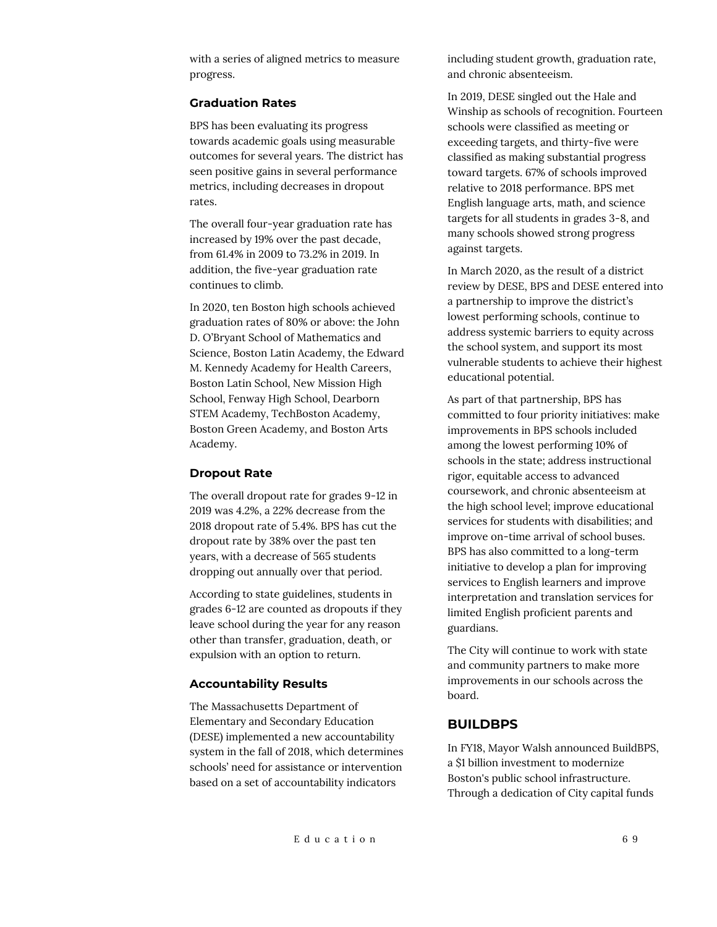with a series of aligned metrics to measure progress.

#### **Graduation Rates**

BPS has been evaluating its progress towards academic goals using measurable outcomes for several years. The district has seen positive gains in several performance metrics, including decreases in dropout rates.

The overall four-year graduation rate has increased by 19% over the past decade, from 61.4% in 2009 to 73.2% in 2019. In addition, the five-year graduation rate continues to climb.

In 2020, ten Boston high schools achieved graduation rates of 80% or above: the John D. O'Bryant School of Mathematics and Science, Boston Latin Academy, the Edward M. Kennedy Academy for Health Careers, Boston Latin School, New Mission High School, Fenway High School, Dearborn STEM Academy, TechBoston Academy, Boston Green Academy, and Boston Arts Academy.

#### **Dropout Rate**

The overall dropout rate for grades 9-12 in 2019 was 4.2%, a 22% decrease from the 2018 dropout rate of 5.4%. BPS has cut the dropout rate by 38% over the past ten years, with a decrease of 565 students dropping out annually over that period.

According to state guidelines, students in grades 6-12 are counted as dropouts if they leave school during the year for any reason other than transfer, graduation, death, or expulsion with an option to return.

#### **Accountability Results**

The Massachusetts Department of Elementary and Secondary Education (DESE) implemented a new accountability system in the fall of 2018, which determines schools' need for assistance or intervention based on a set of accountability indicators

including student growth, graduation rate, and chronic absenteeism.

In 2019, DESE singled out the Hale and Winship as schools of recognition. Fourteen schools were classified as meeting or exceeding targets, and thirty-five were classified as making substantial progress toward targets. 67% of schools improved relative to 2018 performance. BPS met English language arts, math, and science targets for all students in grades 3-8, and many schools showed strong progress against targets.

In March 2020, as the result of a district review by DESE, BPS and DESE entered into a partnership to improve the district's lowest performing schools, continue to address systemic barriers to equity across the school system, and support its most vulnerable students to achieve their highest educational potential.

As part of that partnership, BPS has committed to four priority initiatives: make improvements in BPS schools included among the lowest performing 10% of schools in the state; address instructional rigor, equitable access to advanced coursework, and chronic absenteeism at the high school level; improve educational services for students with disabilities; and improve on-time arrival of school buses. BPS has also committed to a long-term initiative to develop a plan for improving services to English learners and improve interpretation and translation services for limited English proficient parents and guardians.

The City will continue to work with state and community partners to make more improvements in our schools across the board.

#### **BUILDBPS**

In FY18, Mayor Walsh announced BuildBPS, a \$1 billion investment to modernize Boston's public school infrastructure. Through a dedication of City capital funds